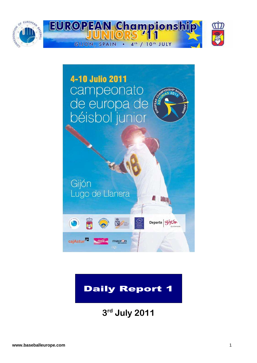



# Daily Report 1

**3 rd July 2011**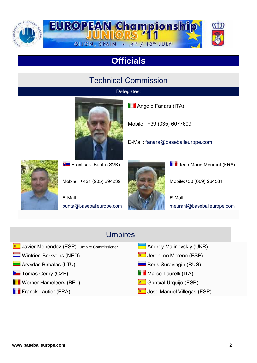

# **Officials**

### Technical Commission

#### Delegates:



Mobile: +39 (335) 6077609

E-Mail: fanara@baseballeurope.com



**Frantisek Bunta (SVK)** 

Mobile: +421 (905) 294239

E-Mail: bunta@baseballeurope.com



**Jean Marie Meurant (FRA)** 

Mobile:+33 (609) 264581

E-Mail: meurant@baseballeurope.com

### Umpires

- **C** Javier Menendez (ESP)- Umpire Commissioner Andrey Malinovskiy (UKR)
- 
- **Arvydas Birbalas (LTU)** Boris Suroviagin (RUS)
- **Tomas Cerny (CZE)** Marco Taurelli (ITA)
- **T** Werner Hameleers (BEL) **Gontxal Urquijo (ESP)** Gontxal Urquijo (ESP)
- 
- 
- **Winfried Berkvens (NED)** (*NET* 19 Jeronimo Moreno (ESP)
	-
	-
	-
- **Figure 1** Franck Lautier (FRA) **Figure 2** Jose Manuel Villegas (ESP)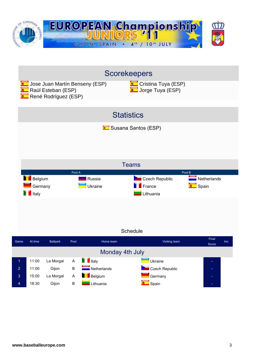

|                | <b>Scorekeepers</b>  |                 |                           |                              |                        |  |  |  |  |  |
|----------------|----------------------|-----------------|---------------------------|------------------------------|------------------------|--|--|--|--|--|
|                |                      |                 |                           |                              |                        |  |  |  |  |  |
|                |                      |                 |                           |                              |                        |  |  |  |  |  |
|                | <b>Statistics</b>    |                 |                           |                              |                        |  |  |  |  |  |
|                |                      |                 |                           | <b>E</b> Susana Santos (ESP) |                        |  |  |  |  |  |
|                |                      |                 |                           |                              |                        |  |  |  |  |  |
|                |                      |                 |                           |                              |                        |  |  |  |  |  |
|                |                      |                 |                           |                              |                        |  |  |  |  |  |
|                |                      |                 |                           | <b>Teams</b>                 |                        |  |  |  |  |  |
|                |                      |                 | Pool A                    | Pool B                       |                        |  |  |  |  |  |
|                | Belgium              |                 | Russia                    | <b>Czech Republic</b>        | Netherlands            |  |  |  |  |  |
|                |                      |                 |                           |                              |                        |  |  |  |  |  |
|                | Germany              |                 | Ukraine                   | France                       | Spain                  |  |  |  |  |  |
|                | $\blacksquare$ Italy |                 |                           | Lithuania                    |                        |  |  |  |  |  |
|                |                      |                 |                           |                              |                        |  |  |  |  |  |
|                |                      |                 |                           |                              |                        |  |  |  |  |  |
|                |                      |                 |                           |                              |                        |  |  |  |  |  |
|                |                      |                 |                           | Schedule                     |                        |  |  |  |  |  |
| Game           | At time              | <b>Ballpark</b> | Pool<br>Home team         | Visiting team                | Final<br>Inn.<br>Score |  |  |  |  |  |
|                |                      |                 |                           | Monday 4th July              |                        |  |  |  |  |  |
| $\overline{1}$ | 11:00                | La Morgal       | $\blacksquare$ Italy<br>A | Ukraine                      |                        |  |  |  |  |  |
| $\overline{2}$ | 11:00                | Gijon           | Netherlands<br>B          | Czech Republic               |                        |  |  |  |  |  |
| 3              | 15:00                | La Morgal       | Belgium<br>A              | Germany                      |                        |  |  |  |  |  |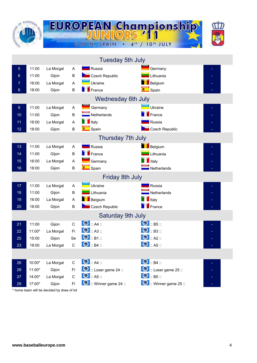| <b>MOZIVASIO<sup>T</sup>ICO</b> | EUROP<br><b>SEBAL</b> |                                            |              | GIJON, SPAIN                 | <b>EUROPEAN Championship</b><br>4 <sup>th</sup><br>10 <sup>th</sup> JULY<br>$\sqrt{ }$ |  |
|---------------------------------|-----------------------|--------------------------------------------|--------------|------------------------------|----------------------------------------------------------------------------------------|--|
|                                 |                       |                                            |              | <b>Tuesday 5th July</b>      |                                                                                        |  |
| 5                               | 11:00                 | La Morgal                                  | A            | Russia                       | Germany                                                                                |  |
| 6                               | 11:00                 | Gijon                                      | B            | Czech Republic               | Lithuania                                                                              |  |
| 7                               | 16:00                 | La Morgal                                  | Α            | Ukraine                      | Belgium                                                                                |  |
| 8                               | 18:00                 | Gijon                                      | B            | $\blacksquare$ France        | Spain                                                                                  |  |
|                                 |                       |                                            |              | <b>Wednesday 6th July</b>    |                                                                                        |  |
| 9                               | 11:00                 | La Morgal                                  | Α            | Germany                      | Ukraine                                                                                |  |
| 10                              | 11:00                 | Gijon                                      | $\sf B$      | Netherlands                  | France                                                                                 |  |
| 11                              | 16:00                 | La Morgal                                  | A            | $\blacksquare$ Italy         | Russia                                                                                 |  |
| 12                              | 18:00                 | Gijon                                      | B            | <b>Company</b> Spain         | Czech Republic                                                                         |  |
|                                 |                       |                                            |              | Thursday 7th July            |                                                                                        |  |
| 13                              | 11:00                 | La Morgal                                  | Α            | Russia                       | Belgium                                                                                |  |
| 14                              | 11:00                 | Gijon                                      | B            | $\blacksquare$ France        | Lithuania                                                                              |  |
| 15                              | 16:00                 | La Morgal                                  | Α            | Germany                      | Italy                                                                                  |  |
| 16                              | 18:00                 | Gijon                                      | B            | Spain                        | Netherlands                                                                            |  |
|                                 |                       |                                            |              | <b>Friday 8th July</b>       |                                                                                        |  |
| 17 <sub>2</sub>                 | 11:00                 | La Morgal                                  | A            | Ukraine                      | Russia                                                                                 |  |
| 18                              | 11:00                 | Gijon                                      | B            | Lithuania                    | Netherlands                                                                            |  |
| 19                              | 16:00                 | La Morgal                                  | A            | Belgium                      | Italy                                                                                  |  |
| 20                              | 18:00                 | Gijon                                      | $\sf B$      | Czech Republic               | France                                                                                 |  |
|                                 |                       |                                            |              | <b>Saturday 9th July</b>     |                                                                                        |  |
| 21                              | 11:00                 | Gijon                                      | $\mathsf{C}$ | $\bullet$ :: A4 ::           | $\bigcirc$ :: B5 ::                                                                    |  |
| 22                              | 11:00*                | La Morgal                                  | Fi           | $\bullet$ :: A3 ::           | $\bullet$ $B3$ :                                                                       |  |
| 25                              | 15:00                 | Gijon                                      | Se           | $\bigcirc$ :: B1 ::          | $\bigcirc$ :: A2 ::                                                                    |  |
| 23                              | 18:00                 | La Morgal                                  | C            | $\bullet$ : B4 ::            | $\bullet$ :: A5 ::                                                                     |  |
|                                 |                       |                                            |              |                              |                                                                                        |  |
| 26                              | 10:00*                | La Morgal                                  | C            | $\bigcirc$ :: A4 ::          | $\bullet$ : B4 ::                                                                      |  |
| 28                              | $11:00*$              | Gijon                                      | Fi           | <b>D</b> :: Loser game 24 :: | <b>D</b> :: Loser game 25 ::                                                           |  |
| 27                              | 14:00*                | La Morgal                                  | $\mathsf{C}$ | $\bullet$ :: A5 ::           | $\bullet$ :: B5 ::                                                                     |  |
| 29                              | 17:00*                | Gijon                                      | Fi           | Winner game 24 ::            | $\bullet$ : Winner game 25 ::                                                          |  |
|                                 |                       | * home team will be decided by draw of lot |              |                              |                                                                                        |  |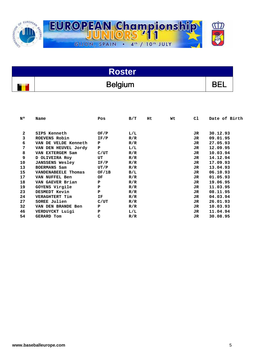

| Roster         |  |
|----------------|--|
| <b>Belgium</b> |  |

| N٥ | Name                   | Pos   | B/T | Ht. | Wt | C1  | Date of Birth |
|----|------------------------|-------|-----|-----|----|-----|---------------|
|    |                        |       |     |     |    |     |               |
| 2  | SIPS Kenneth           | OF/P  | L/L |     |    | JR  | 30.12.93      |
| 3  | ROEVENS Robin          | IF/P  | R/R |     |    | JR  | 09.01.95      |
| 6  | VAN DE VELDE Kenneth   | P     | R/R |     |    | JR. | 27.05.93      |
| 7  | VAN DEN HEUVEL Jordy   | P     | L/L |     |    | JR  | 12.09.95      |
| 8  | VAN EXTERGEM Sam       | C/UT  | R/R |     |    | JR. | 10.03.94      |
| 9  | D OLIVEIRA Roy         | UT    | R/R |     |    | JR. | 14.12.94      |
| 10 | <b>JANSSENS Wesley</b> | IF/P  | R/R |     |    | JR. | 17.09.93      |
| 13 | BOERMANS Sam           | UT/P  | R/R |     |    | JR  | 13.04.93      |
| 15 | VANDENABEELE Thomas    | OF/1B | B/L |     |    | JR. | 06.10.93      |
| 17 | VAN NUFFEL Ben         | OF    | R/R |     |    | JR. | 01.05.93      |
| 18 | VAN GAEVER Brian       | P     | R/R |     |    | JR. | 19.06.95      |
| 19 | GOYENS Virgile         | P     | R/R |     |    | JR  | 11.03.95      |
| 23 | DESMEDT Kevin          | P     | R/R |     |    | JR  | 08.11.95      |
| 24 | VERAGHTERT Tim         | ΙF    | R/R |     |    | JR  | 04.03.94      |
| 27 | SOREE Julien           | C/UT  | R/R |     |    | JR. | 26.01.93      |
| 32 | VAN DEN BRANDE Ben     | P     | R/R |     |    | JR  | 10.03.93      |
| 46 | VERDUYCKT Luigi        | P     | L/L |     |    | JR. | 11.04.94      |
| 54 | <b>GERARD Tom</b>      | c     | R/R |     |    | JR  | 30.08.95      |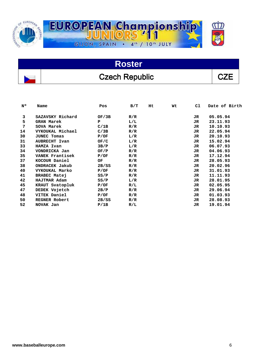

# **Roster**  Czech Republic  $\vert$  CZE

| 3<br>SAZAVSKY Richard<br>05.05.94<br>OF/3B<br>R/R<br>JR.<br>5<br><b>GRAN Marek</b><br>P<br>L/L<br>23.11.93<br>JR.<br>7<br>10.10.93<br>SOVA Marek<br>C/1B<br>R/R<br>JR.<br>22.05.94<br>14<br>VYKOUKAL Michael<br>C/3B<br>R/R<br>JR.<br>30<br>20.10.93<br><b>JUNEC Tomas</b><br>P/OF<br>L/R<br>JR<br>15.02.94<br>31<br>L/R<br><b>AUBRECHT Ivan</b><br>OF/C<br>JR<br>33<br>L/R<br>06.07.93<br>HAMZA Ivan<br>3B/P<br>JR.<br>04.06.93<br>34<br>VONDRICKA Jan<br>OF/P<br>R/R<br>JR | Date of Birth |
|------------------------------------------------------------------------------------------------------------------------------------------------------------------------------------------------------------------------------------------------------------------------------------------------------------------------------------------------------------------------------------------------------------------------------------------------------------------------------|---------------|
|                                                                                                                                                                                                                                                                                                                                                                                                                                                                              |               |
|                                                                                                                                                                                                                                                                                                                                                                                                                                                                              |               |
|                                                                                                                                                                                                                                                                                                                                                                                                                                                                              |               |
|                                                                                                                                                                                                                                                                                                                                                                                                                                                                              |               |
|                                                                                                                                                                                                                                                                                                                                                                                                                                                                              |               |
|                                                                                                                                                                                                                                                                                                                                                                                                                                                                              |               |
|                                                                                                                                                                                                                                                                                                                                                                                                                                                                              |               |
|                                                                                                                                                                                                                                                                                                                                                                                                                                                                              |               |
| 35<br>17.12.94<br>VANEK Frantisek<br>R/R<br>P/OF<br>JR.                                                                                                                                                                                                                                                                                                                                                                                                                      |               |
| 37<br>KOCOUR Daniel<br>28.05.93<br>OF<br>R/R<br>JR.                                                                                                                                                                                                                                                                                                                                                                                                                          |               |
| 38<br>20.02.96<br>ONDRACEK Jakub<br>2B/SS<br>R/R<br>JR.                                                                                                                                                                                                                                                                                                                                                                                                                      |               |
| 40<br>VYKOUKAL Marko<br>31.01.93<br>P/OF<br>R/R<br>JR.                                                                                                                                                                                                                                                                                                                                                                                                                       |               |
| 41<br>11.11.93<br>BRABEC Matej<br>SS/P<br>R/R<br>JR.                                                                                                                                                                                                                                                                                                                                                                                                                         |               |
| 42<br>28.01.95<br>HAJTMAR Adam<br>L/R<br>SS/P<br>JR.                                                                                                                                                                                                                                                                                                                                                                                                                         |               |
| 45<br>02.05.95<br>KRAUT Svatopluk<br>R/L<br>P/OF<br>JR.                                                                                                                                                                                                                                                                                                                                                                                                                      |               |
| 47<br>DEDEK Vojetch<br>29.06.94<br>2B/P<br>R/R<br>JR.                                                                                                                                                                                                                                                                                                                                                                                                                        |               |
| 48<br>VITEK Daniel<br>01.03.93<br>R/R<br>P/OF<br>JR.                                                                                                                                                                                                                                                                                                                                                                                                                         |               |
| 28.08.93<br>50<br><b>REGNER Robert</b><br>2B/SS<br>R/R<br>JR                                                                                                                                                                                                                                                                                                                                                                                                                 |               |
| 52<br>19.01.94<br>NOVAK Jan<br>P/1B<br>R/L<br>JR.                                                                                                                                                                                                                                                                                                                                                                                                                            |               |

 $\overline{a}$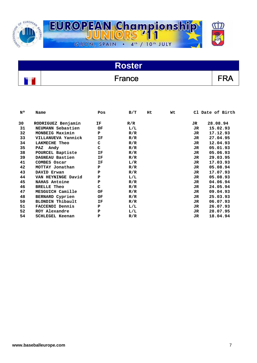

| <b>Roster</b> |     |
|---------------|-----|
| France        | FRA |

| N۰ | Name                    | Pos | B/T | Нt | Wt |     | Cl Date of Birth |
|----|-------------------------|-----|-----|----|----|-----|------------------|
| 30 | RODRIGUEZ Benjamin      | ΙF  | R/R |    |    | JR. | 28.08.94         |
| 31 | NEUMANN Sebastien       | OF  | L/L |    |    | JR  | 15.02.93         |
| 32 | MONBEIG Maximin         | P   | R/R |    |    | JR. | 17.12.93         |
| 33 | VILLANUEVA Yannick      | ΙF  | R/R |    |    | JR  | 27.04.95         |
| 34 | <b>LAKMECHE Theo</b>    | c   | R/R |    |    | JR  | 12.04.93         |
| 35 | Andy<br>PAZ             | c   | R/R |    |    | JR  | 05.01.93         |
| 38 | POURCEL Baptiste        | ΙF  | R/R |    |    | JR  | 05.06.93         |
| 39 | DAGNEAU Bastien         | ΙF  | R/R |    |    | JR  | 29.03.95         |
| 41 | COMBES Oscar            | ΙF  | L/R |    |    | JR  | 17.03.93         |
| 42 | MOTTAY Jonathan         | P   | R/R |    |    | JR  | 05.08.94         |
| 43 | DAVID Erwan             | P   | R/R |    |    | JR  | 17.07.93         |
| 44 | VAN HEYNINGE David      | Р   | L/L |    |    | JR  | 05.08.93         |
| 45 | NAHAS Antoine           | P   | R/R |    |    | JR  | 04.06.94         |
| 46 | <b>BRELLE Theo</b>      | c   | R/R |    |    | JR. | 24.05.94         |
| 47 | MESGUICH Camille        | OF  | R/R |    |    | JR  | 09.04.93         |
| 48 | BERNARD Cyprien         | ОF  | R/R |    |    | JR  | 25.03.93         |
| 50 | <b>BLONDIN Thibault</b> | ΙF  | R/R |    |    | JR. | 06.07.93         |
| 51 | <b>FACCENDI Dennis</b>  | P   | L/L |    |    | JR  | 26.07.93         |
| 52 | ROY Alexandre           | P   | L/L |    |    | JR  | 28.07.95         |
| 54 | SCHLEGEL Keenan         | Ъ   | R/R |    |    | JR  | 18.04.94         |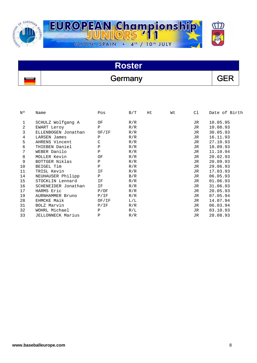

| <b>Roster</b> |         |            |  |  |  |  |
|---------------|---------|------------|--|--|--|--|
|               | Germany | <b>GEF</b> |  |  |  |  |

| N٥ | Name                | Pos          | B/T | Ηt | Wt | C1  | Date of Birth |
|----|---------------------|--------------|-----|----|----|-----|---------------|
| 1  | SCHULZ Wolfgang A   | ΟF           | R/R |    |    | JR. | 10.05.95      |
| 2  | EWART Leroy         | P            | R/R |    |    | JR. | 10.08.93      |
| 3  | ELLENBOGEN Jonathan | OF/IF        | R/R |    |    | JR  | 30.05.93      |
| 4  | LARSEN James        | Ρ            | R/R |    |    | JR  | 16.11.93      |
| 5  | AHRENS Vincent      | $\mathsf C$  | R/R |    |    | JR  | 27.10.93      |
| 6  | THIEBEN Daniel      | $\mathbf P$  | R/R |    |    | JR  | 18.09.93      |
| 7  | WEBER Danilo        | P            | R/R |    |    | JR  | 11.10.94      |
| 8  | MOLLER Kevin        | ΟF           | R/R |    |    | JR. | 20.02.93      |
| 9  | BOTTGER Niklas      | $\mathbf{P}$ | R/R |    |    | JR. | 20.09.93      |
| 10 | BEIGEL Tim          | P            | R/R |    |    | JR  | 29.06.93      |
| 11 | TRISL Kevin         | ΙF           | R/R |    |    | JR. | 17.03.93      |
| 14 | NEUHAUSER Philipp   | $\mathbf{P}$ | B/R |    |    | JR  | 06.05.93      |
| 15 | STOCKLIN Lennard    | ΙF           | R/R |    |    | JR  | 01.06.93      |
| 16 | SCHENEIDER Jonathan | ΙF           | R/R |    |    | JR  | 31.06.93      |
| 17 | HARMS Eric          | P/OF         | R/R |    |    | JR  | 20.05.93      |
| 19 | AURNHAMMER Bruno    | P/IF         | R/R |    |    | JR  | 07.05.94      |
| 28 | EHMCKE Maik         | OF/IF        | L/L |    |    | JR  | 14.07.94      |
| 31 | BOLZ Marvin         | P/IF         | R/R |    |    | JR. | 06.03.94      |
| 32 | WOHRL Michael       | P            | R/L |    |    | JR  | 03.10.93      |
| 33 | JELLONNECK Marius   | P            | R/R |    |    | JR  | 28.08.93      |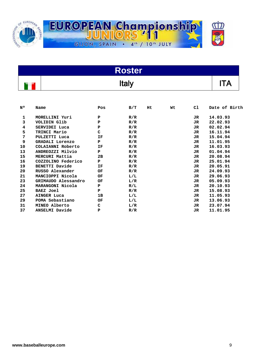

| <b>Roster</b> |                        |              |     |    |    |     |               |  |  |
|---------------|------------------------|--------------|-----|----|----|-----|---------------|--|--|
|               | <b>Italy</b>           |              |     |    |    |     |               |  |  |
| N۰            | Name                   | Pos          | B/T | Ht | Wt | C1  | Date of Birth |  |  |
| 1             | MORELLINI Yuri         | Р            | R/R |    |    | JR  | 14.03.93      |  |  |
| 3             | VOLIDIN Glib           | P            | R/R |    |    | JR  | 22.02.93      |  |  |
| 4             | SERVIDEI Luca          | P            | R/R |    |    | JR  | 02.02.94      |  |  |
| 5             | TRINCI Mario           | C            | R/R |    |    | JR  | 16.11.94      |  |  |
| 7             | PULZETTI Luca          | ΙF           | R/R |    |    | JR  | 15.04.94      |  |  |
| 9             | <b>GRADALI Lorenzo</b> | P            | R/R |    |    | JR  | 11.01.95      |  |  |
| 10            | COLAIANNI Roberto      | ΙF           | R/R |    |    | JR. | 16.03.93      |  |  |
| 13            | ANDREOZZI Milvio       | P            | R/R |    |    | JR  | 01.04.94      |  |  |
| 15            | MERCURI Mattia         | 2B           | R/R |    |    | JR  | 20.08.94      |  |  |
| 16            | COZZOLINO Federico     | $\mathbf{P}$ | R/R |    |    | JR  | 25.01.94      |  |  |
| 19            | BENETTI Davide         | ΙF           | R/R |    |    | JR  | 20.05.91      |  |  |
| 20            | RUSSO Alexander        | OF           | R/R |    |    | JR  | 24.09.93      |  |  |
| 21            | MANCIOPPI Nicola       | OF           | L/L |    |    | JR  | 29.06.93      |  |  |
| 23            | GRIMAUDO Alessandro    | OF           | L/R |    |    | JR. | 05.09.93      |  |  |
| 24            | MARANGONI Nicola       | P            | R/L |    |    | JR  | 20.10.93      |  |  |
| 25            | <b>BAEZ Joel</b>       | P            | R/R |    |    | JR. | 15.08.93      |  |  |
| 27            | <b>AINGER Luca</b>     | 1B           | L/L |    |    | JR. | 11.05.93      |  |  |
| 29            | POMA Sebastiano        | OF           | L/L |    |    | JR. | 13.06.93      |  |  |
| 31            | MINEO Alberto          | c            | L/R |    |    | JR. | 23.07.94      |  |  |
| 37            | ANSELMI Davide         | P            | R/R |    |    | JR  | 11.01.95      |  |  |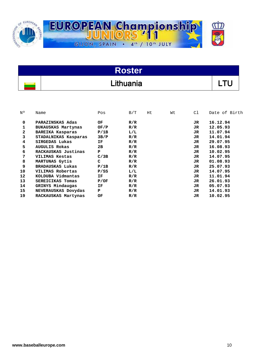

| <b>Roster</b> |           |  |  |  |  |  |
|---------------|-----------|--|--|--|--|--|
|               | Lithuania |  |  |  |  |  |

| N٥<br>Name |                           | Pos  | B/T | Нt | Wt | C1  | Date of Birth |
|------------|---------------------------|------|-----|----|----|-----|---------------|
| 0          | PARAZINSKAS Adas          | OF.  | R/R |    |    | JR. | 16.12.94      |
| 1          | <b>BUKAUSKAS Martynas</b> | OF/P | R/R |    |    | JR. | 12.05.93      |
| 2          | BAREIKA Kasparas          | P/1B | L/L |    |    | JR. | 11.07.94      |
| 3          | STADALNIKAS Kasparas      | 3B/P | R/R |    |    | JR. | 14.01.94      |
| 4          | SIRGEDAS Lukas            | ΙF   | R/R |    |    | JR. | 29.07.95      |
| 5          | <b>AUGULIS Rokas</b>      | 2в   | R/R |    |    | JR. | 16.08.93      |
| 6          | RACKAUSKAS Justinas       | P    | R/R |    |    | JR. | 10.02.95      |
| 7          | VILIMAS Kestas            | C/3B | R/R |    |    | JR. | 14.07.95      |
| 8          | MARTUNAS Gytis            | C    | R/R |    |    | JR. | 01.08.93      |
| 9          | <b>BRADAUSKAS Lukas</b>   | P/1B | R/R |    |    | JR. | 25.07.93      |
| 10         | VILIMAS Robertas          | P/SS | L/L |    |    | JR. | 14.07.95      |
| 12         | KOLDUBA Vidmantas         | IF   | R/R |    |    | JR. | 11.01.94      |
| 13         | SEREICIKAS Tomas          | P/OF | R/R |    |    | JR. | 26.01.93      |
| 14         | GRINYS Mindaugas          | ΙF   | R/R |    |    | JR. | 05.07.93      |
| 15         | NEVERAUSKAS Dovydas       | P    | R/R |    |    | JR. | 14.01.93      |
| 19         | RACKAUSKAS Martynas       | ОF   | R/R |    |    | JR. | 10.02.95      |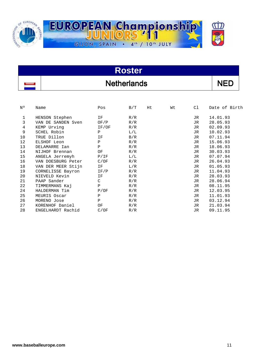

| <b>Roster</b> |                    |  |  |  |  |
|---------------|--------------------|--|--|--|--|
|               | <b>Netherlands</b> |  |  |  |  |

| N٥ | Name               | Pos          | B/T | Ht | Wt | Сl  | Date of Birth |
|----|--------------------|--------------|-----|----|----|-----|---------------|
|    |                    |              |     |    |    |     |               |
| 1  | HENSON Stephen     | ΙF           | R/R |    |    | JR. | 14.01.93      |
| 3  | VAN DE SANDEN Sven | OF/P         | R/R |    |    | JR  | 28.05.93      |
| 4  | KEMP Urving        | IF/OF        | R/R |    |    | JR  | 02.09.93      |
| 9  | SCHEL Robin        | $\mathbf{P}$ | L/L |    |    | JR. | 10.02.93      |
| 10 | TRUE Dillon        | ΙF           | B/R |    |    | JR  | 07.11.94      |
| 12 | ELSHOF Leon        | P            | R/R |    |    | JR  | 15.06.93      |
| 13 | DELAMARRE Ian      | $\mathbf{P}$ | R/R |    |    | JR. | 18.06.93      |
| 14 | NIJHOF Brennan     | ΟF           | R/R |    |    | JR. | 30.03.93      |
| 15 | ANGELA Jerremyh    | P/IF         | L/L |    |    | JR  | 07.07.94      |
| 16 | VAN DOESBURG Peter | C/OF         | R/R |    |    | JR. | 26.04.93      |
| 18 | VAN DER MEER Stijn | ΙF           | L/R |    |    | JR. | 01.05.93      |
| 19 | CORNELISSE Bayron  | IF/P         | R/R |    |    | JR  | 11.04.93      |
| 20 | NIEVELD Kevin      | ΙF           | R/R |    |    | JR  | 28.03.93      |
| 21 | PAAP Sander        | $\mathsf{C}$ | R/R |    |    | JR  | 28.06.94      |
| 22 | TIMMERMANS Kaj     | $\mathbf{P}$ | R/R |    |    | JR  | 08.11.95      |
| 24 | HALDERMAN Tim      | P/OF         | R/R |    |    | JR  | 12.03.95      |
| 25 | MEURIS Oscar       | $\mathbf{P}$ | R/R |    |    | JR. | 11.01.93      |
| 26 | MORENO Jose        | P            | R/R |    |    | JR  | 03.12.94      |
| 27 | KORENHOF Daniel    | ΟF           | R/R |    |    | JR  | 21.03.94      |
| 28 | ENGELHARDT Rachid  | C/OF         | R/R |    |    | JR  | 09.11.95      |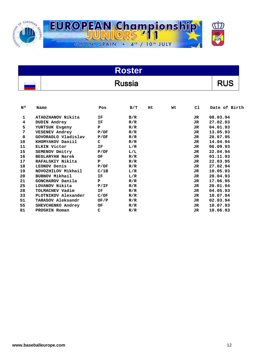

| Roster        |  |
|---------------|--|
| <b>Russia</b> |  |

| N٥           | Name                   | Pos  | B/T | Нt | Wt | C1  | Date of Birth |
|--------------|------------------------|------|-----|----|----|-----|---------------|
| $\mathbf{1}$ | ATADZHANOV Nikita      | ΙF   | B/R |    |    | JR. | 08.03.94      |
| 4            | <b>DUDIN Andrey</b>    | ΙF   | R/R |    |    | JR. | 27.02.93      |
| 5            | YURTSUK Evgeny         | P    | R/R |    |    | JR. | 04.01.93      |
| 7            | <b>VESENEV Andrey</b>  | P/OF | R/R |    |    | JR  | 13.05.93      |
| 8            | GOVORADLO Vladislav    | P/OF | R/R |    |    | JR. | 28.07.95      |
| 10           | KHOMYAKOV Daniil       | c    | R/R |    |    | JR  | 14.04.94      |
| 11           | ELKIN Victor           | ΙF   | L/R |    |    | JR. | 06.09.93      |
| 15           | SEMENOV Dmitry         | P/OF | L/L |    |    | JR. | 22.04.94      |
| 16           | <b>BEGLARYAN Narek</b> | OF   | R/R |    |    | JR. | 03.11.93      |
| 17           | RAFALSKIY Nikita       | P    | R/R |    |    | JR. | 22.03.95      |
| 18           | LEONOV Denis           | P/OF | R/R |    |    | JR  | 27.02.94      |
| 19           | NOVOZHILOV Mikhail     | C/1B | L/R |    |    | JR  | 10.05.93      |
| 20           | <b>BUBNOV Mikhail</b>  | ΙF   | L/R |    |    | JR  | 28.04.93      |
| 21           | GONCHAROV Danila       | P    | R/R |    |    | JR. | 17.06.95      |
| 25           | LOVANOV Nikita         | P/IF | R/R |    |    | JR. | 20.01.94      |
| 28           | TOLMACHEV Vadim        | ΙF   | R/R |    |    | JR. | 04.05.93      |
| 33           | PLOTNIKOV Alexander    | C/OF | R/R |    |    | JR. | 10.07.94      |
| 51           | TARASOV Aleksandr      | OF/P | R/R |    |    | JR. | 02.03.94      |
| 55           | SHEVCHENKO Andrey      | OF   | R/R |    |    | JR  | 10.07.93      |
| 81           | PROSHIN Roman          | C    | R/R |    |    | JR  | 10.06.93      |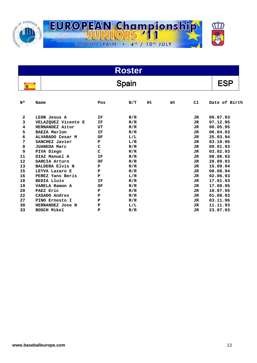

| <b>Roster</b> |                        |     |     |    |    |     |               |
|---------------|------------------------|-----|-----|----|----|-----|---------------|
|               | Spain                  |     |     |    |    |     |               |
| N۰            | Name                   | Pos | B/T | Ht | Wt | C1  | Date of Birth |
| $\mathbf{2}$  | LEON Jesus A           | IF  | R/R |    |    | JR  | 09.07.93      |
| 3             | VELAZQUEZ Vicente E    | ΙF  | R/R |    |    | JR  | 07.12.95      |
| 4             | HERNANDEZ Aitor        | UT  | R/R |    |    | JR  | 08.05.95      |
| 5             | <b>BAEZA Marlon</b>    | ΙF  | R/R |    |    | JR  | 06.04.93      |
| 6             | ALVARADO Cesar M       | OF  | L/L |    |    | JR  | 25.03.94      |
| 7             | SANCHEZ Javier         | P   | L/R |    |    | JR  | 03.10.96      |
| 8             | <b>JUANEDA Marc</b>    | C   | R/R |    |    | JR  | 09.01.93      |
| 9             | PIVA Diego             | C   | R/R |    |    | JR  | 03.02.93      |
| 11            | DIAZ Manuel A          | ΙF  | R/R |    |    | JR  | 08.06.93      |
| 12            | GARCIA Arturo          | OF  | R/R |    |    | JR  | 28.09.93      |
| 13            | <b>BALDERA Elvis N</b> | P   | R/R |    |    | JR. | 15.09.94      |
| 15            | LEYVA Lazaro E         | P   | R/R |    |    | JR  | 08.08.94      |
| 16            | PEREZ Yans Beris       | P   | L/R |    |    | JR  | 02.06.93      |
| 18            | <b>BEDIA Lluis</b>     | ΙF  | R/R |    |    | JR  | 17.01.93      |
| 19            | VARELA Ramon A         | OF  | R/R |    |    | JR  | 17.09.95      |
| 20            | PAEZ Eric              | P   | R/R |    |    | JR  | 10.07.95      |
| 22            | CASADO Andres          | P   | R/R |    |    | JR. | 01.08.93      |
| 27            | PINO Ernesto I         | P   | R/R |    |    | JR  | 03.11.96      |
| 30            | HERNANDEZ Jose N       | P   | L/L |    |    | JR. | 11.11.93      |
| 33            | <b>BOSCH Mikel</b>     | P   | R/R |    |    | JR. | 23.07.93      |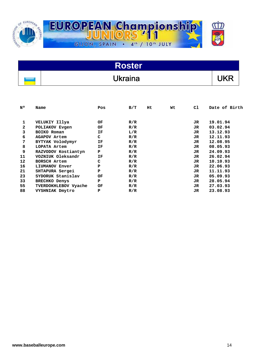

| <b>Roster</b> |                |                        |  |  |  |
|---------------|----------------|------------------------|--|--|--|
|               | <b>Ukraina</b> | $\mathsf{I}\mathsf{K}$ |  |  |  |

| N٥ | Name                 | Pos | B/T | Ht. | Wt | C1  | Date of Birth |
|----|----------------------|-----|-----|-----|----|-----|---------------|
|    |                      |     |     |     |    |     |               |
| 1  | VELUKIY Illya        | OF  | R/R |     |    | JR. | 19.01.94      |
| 2  | POLIAKOV Evgen       | OF  | R/R |     |    | JR. | 03.02.94      |
| 3  | BOIKO Roman          | ΙF  | L/R |     |    | JR. | 13.12.93      |
| 6  | <b>AGAPOV Artem</b>  | C   | R/R |     |    | JR. | 12.11.93      |
| 7  | BYTYAK Volodymyr     | ΙF  | R/R |     |    | JR. | 12.08.95      |
| 8  | LOPATA Artem         | ΙF  | R/R |     |    | JR  | 08.05.93      |
| 9  | RAZVODOV Kostiantyn  | P   | R/R |     |    | JR  | 24.09.93      |
| 11 | VOZNIUK Oleksandr    | ΙF  | R/R |     |    | JR  | 26.02.94      |
| 12 | <b>BORSCH Artem</b>  | C   | R/R |     |    | JR  | 10.10.93      |
| 16 | LIUMANOV Enver       | P   | R/R |     |    | JR  | 22.06.93      |
| 21 | SHTAPURA Sergei      | P   | R/R |     |    | JR  | 11.11.93      |
| 23 | SYDORUK Stanislav    | ОF  | R/R |     |    | JR  | 05.09.93      |
| 33 | <b>BRECHKO Denys</b> | P   | R/R |     |    | JR  | 28.05.94      |
| 55 | TVERDOKHLEBOV Vyache | ОF  | R/R |     |    | JR  | 27.03.93      |
| 88 | VYSHNIAK Dmytro      | P   | R/R |     |    | JR  | 23.08.93      |
|    |                      |     |     |     |    |     |               |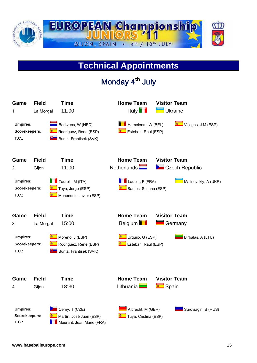

# **Technical Appointments**

Monday 4**th** July